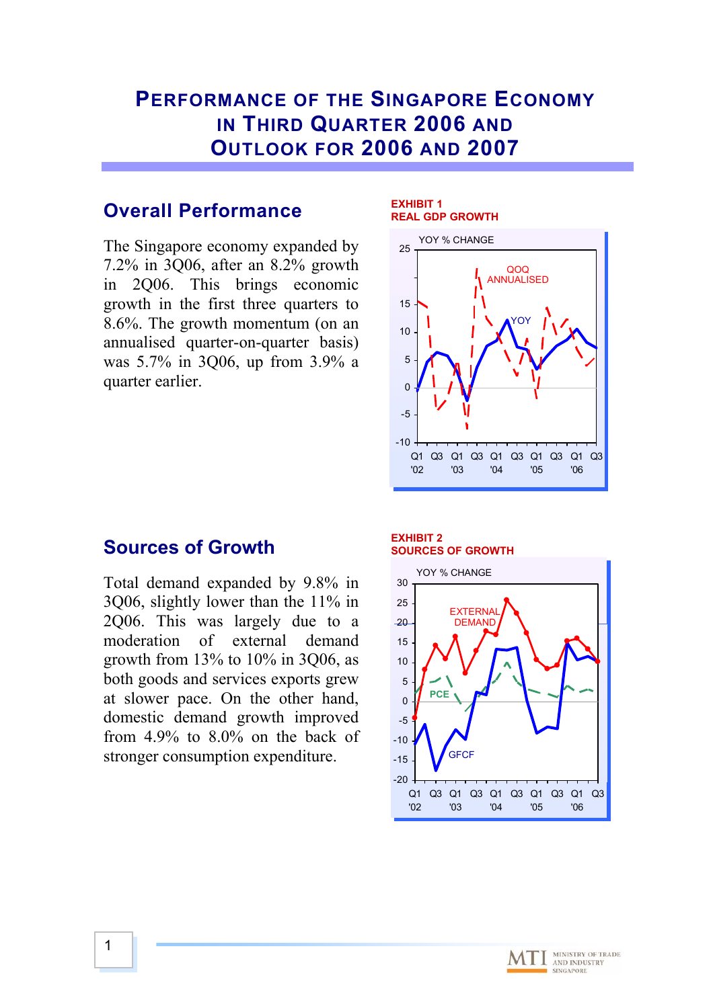# **PERFORMANCE OF THE SINGAPORE ECONOMY IN THIRD QUARTER 2006 AND OUTLOOK FOR 2006 AND 2007**

## **Overall Performance**

The Singapore economy expanded by  $7.2\%$  in 3Q06, after an 8.2% growth in 2Q06. This brings economic growth in the first three quarters to 8.6%. The growth momentum (on an annualised quarter-on-quarter basis) was 5.7% in 3Q06, up from 3.9% a quarter earlier.

#### **REA L GDP GROWTH EXHIBIT 1**



## **Sources of G rowth**

Total deman d expanded by 9.8% in 3Q06, slightly lower than the 11% in 2Q06. T his was largely due to a moderatio growth from 1 3% to 10% in 3Q06, as both goods and services exports grew at slower p ace. On the other hand, domestic demand growth improved from 4.9% to 8.0% on the back of stronger consum ption expenditure. n of external demand

#### **EXHIBIT 2 SOURCES OF GROWTH**



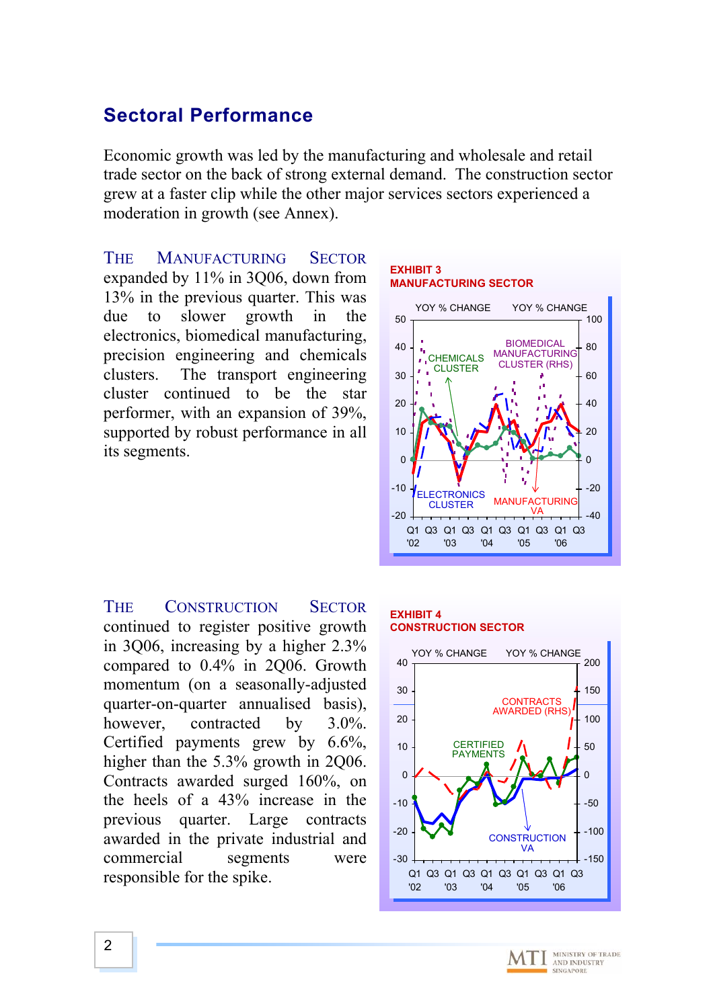## **Sectoral Performance**

trade sector on the back of strong external demand. The construction sector Economic growth was led by the manufacturing and wholesale and retail grew at a faster clip while the other major services sectors experienced a moderation in growth (see Annex).

**MANUFACTURING** expanded by 11% in 3Q06, down from 13% in the previous quarter. This was slower growth electronics, biomedical manufacturing, precision engineering and chemicals he transport engineering cluster continued to be the star performer, with an expansion of 39%, supported by robust performance in all its segments. **SECTOR** in the **THE** due to clusters





**THE** continue d to register positive growth in 3Q06, increas ing by a higher 2.3% compare d to 0.4% in 2Q06. Growth momentum (on a seasonally-adjusted quarter-on-qua rter annualised basis), however. Certified payments grew by 6.6%, higher than the 5.3% growth in 2Q06. Contract s awarded surged 160%, on the heels of a 43% increase in the previous qu arter. Large contracts awarded in the private industrial and commercial responsib le for the spike. CONSTRUCTION SECTOR contracted by  $3.0\%$ . segments were

#### **EXHIBIT 4 CONSTRUCTION SECTOR**



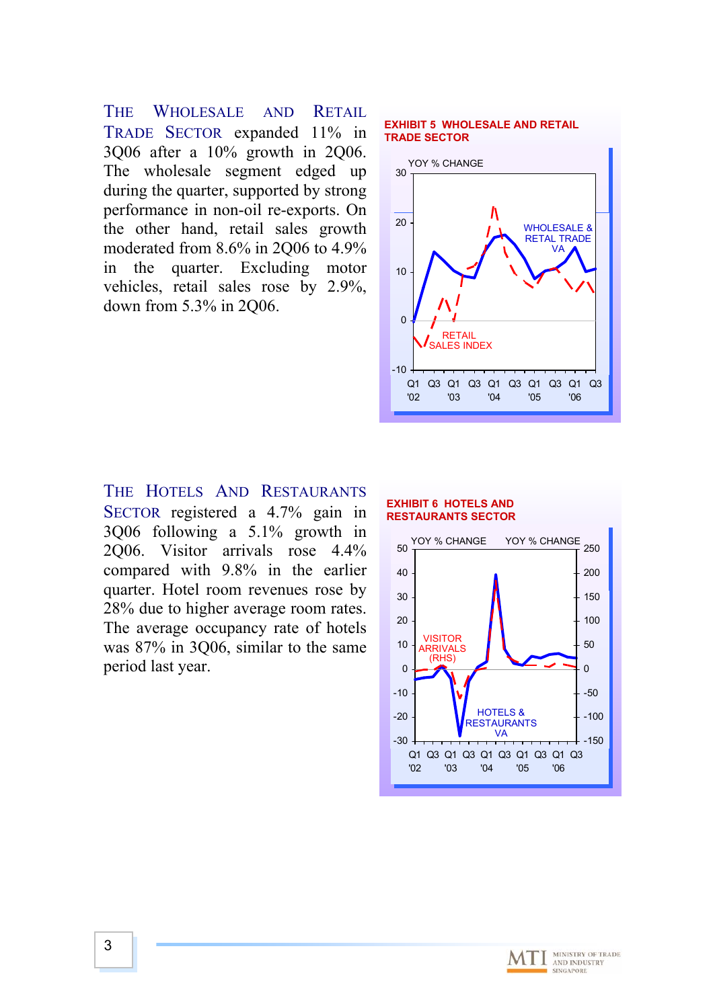WHOLESALE AND RETAIL TRADE SECTOR expanded 11% in 3Q06 after a 10% growth in 2Q06. The wholesale segment edged up during the quarter, supported by strong performance in non-oil re-exports. On the other hand, retail sales growth moderated from 8.6% in 2Q06 to 4.9% in the quarter. Excluding motor vehicles, retail sales rose by 2.9%, down from 5.3% in 2Q06. **THE** 

#### **EXHIBIT 5 WHOLESALE AND RETAIL TRADE SECTOR**



#### THE HOTELS AND RESTAURANTS SECTOR registered a 4.7% gain in 3Q06 following a 5.1% growth in 2Q06. Visitor arrivals rose 4.4% compared with 9.8% in the earlier quarter. Hotel room revenues rose by 28% due to higher average room rates. The average occupancy rate of hotels was 87% in 3Q06, similar to the same period last year.

#### **EXHIBIT 6 HOTELS AND RESTAURANTS SECTOR**



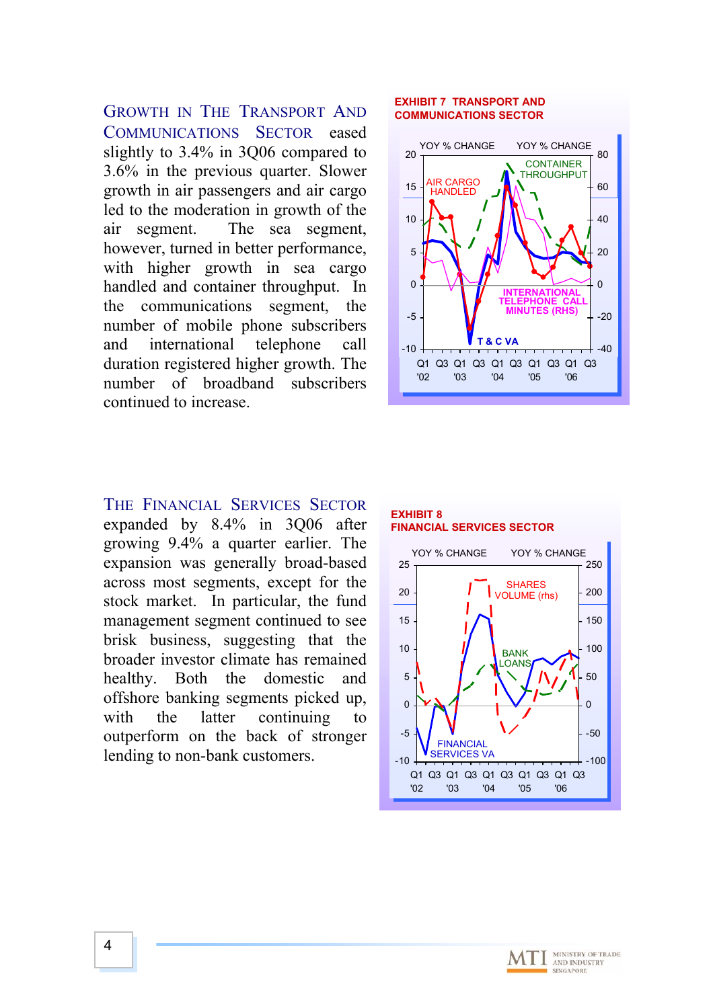however, turned in better performance, with higher growth in sea cargo handled and container throughput. In the communications segment, the number of mobile phone subscribers and international telephone call duration registered higher growth. The number of broadband subscribers continued to increase. GROWTH IN THE TRANSPORT AND COMMUNICATIONS SECTOR eased led to the moderation in growth of the air segment. The sea segment, slightly to 3.4% in 3Q06 compared to 3.6% in the previous quarter. Slower growth in air passengers and air cargo

### **EXHIBIT 7 TRANSPORT AND COMMUNICATIONS SECTOR**  $20 - 80$ YOY % CHANGE YOY % CHANGE



#### THE FINANCIAL SERVICES SECTOR

stock market. In particular, the fund management segment continued to see brisk business, suggesting that the broader investor climate has remained healthy. Both the domestic and offshore banking segments picked up, with the latter continuing to outperform on the back of stronger lending to non-bank customers. expanded by 8.4% in 3Q06 after growing 9.4% a quarter earlier. The expansion was generally broad-based across most segments, except for the



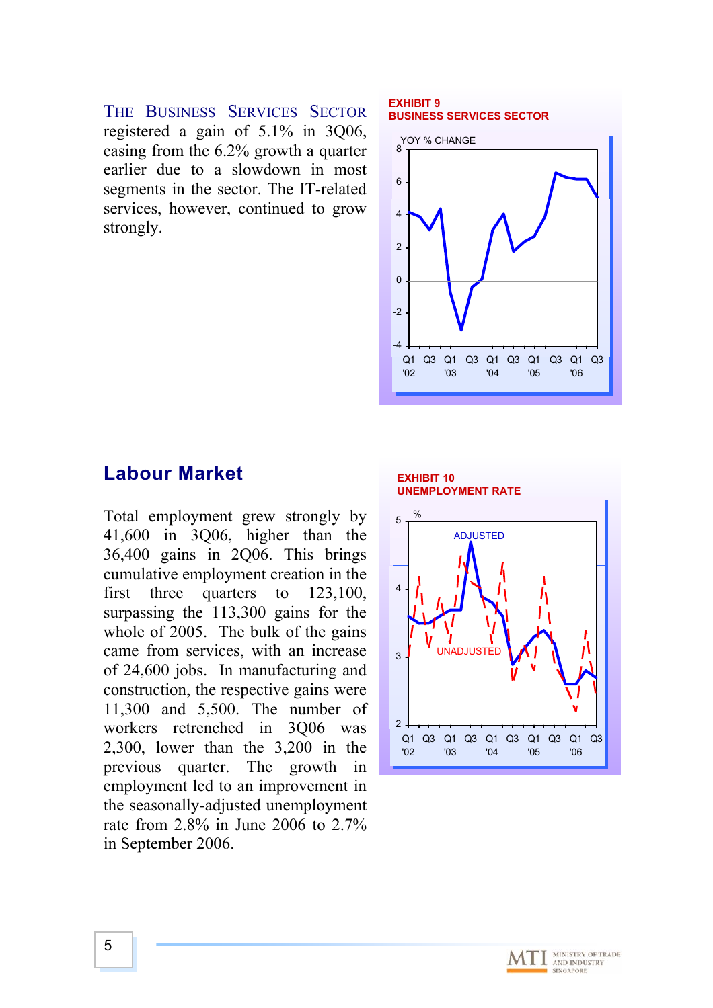THE BUSINESS SERVICES SECTOR registered a gain of 5.1% in 3Q06, easing from the 6.2% growth a quarter earlier due to a slowdown in most segments in the sector. The IT-related services, however, continued to grow strongly.

#### **EXHIBIT 9 BUSINESS SERVICES SECTOR**



## **Labour Market**

of 24,600 jobs. In manufacturing and construction, the respective gains were 1,300 and 5,500. The number of 1 workers retrenched in 3Q06 was  $2,300$ , lower than the  $3,200$  in the previous quarter. The growth in employment led to an improvement in the seasonally-adjusted unemployment rate from  $2.8\%$  in June 2006 to  $2.7\%$ in September 2006. Total employment grew strongly by 41,600 in 3Q06, higher than the 36,400 gains in 2Q06. This brings cumulative employment creation in the first three quarters to 123,100, surpassing the 113,300 gains for the whole of 2005. The bulk of the gains came from services, with an increase



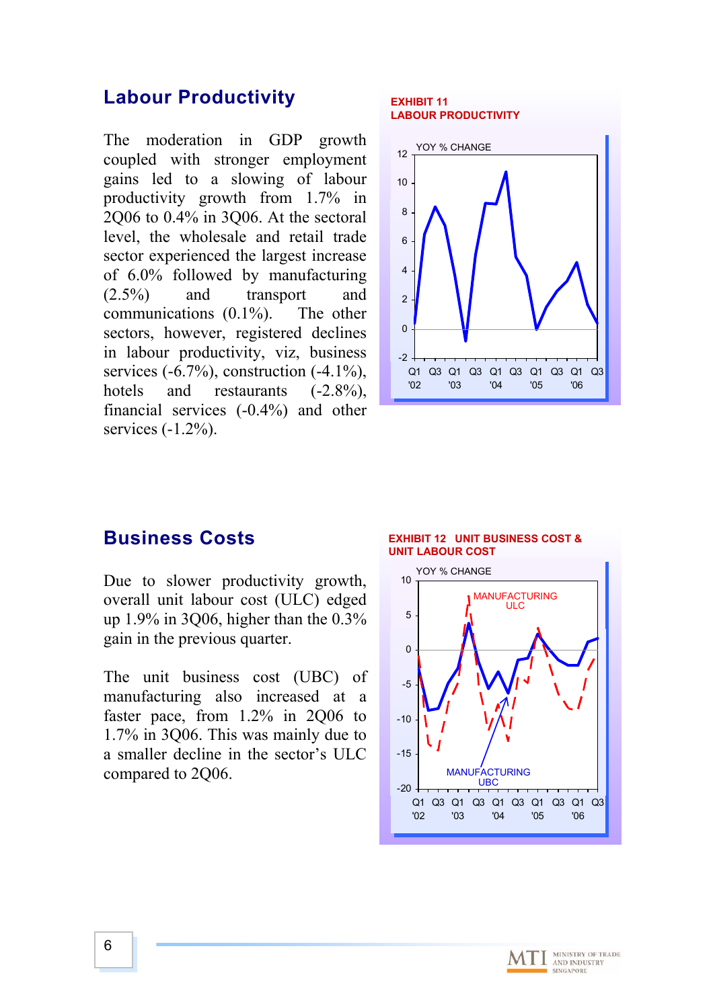### **Labour Productivity**

The moderation in GDP growth coupled with stronger employment gains led to a slowing of labour productivity growth from 1.7% in 2Q06 to 0.4% in 3Q06. At the sectoral level, the wholesale and retail trade sector experienced the largest increase of 6.0% followed by manufacturing (2.5%) and transport and communications (0.1%). The other sectors, however, registered declines in labour productivity, viz, business services  $(-6.7\%)$ , construction  $(-4.1\%)$ , hotels and restaurants  $(-2.8\%)$ , financial services (-0. 4%) and other s ervices (-1.2%).

#### **EXHIBIT 11 LABOUR PRODUCTIVITY**



### **Business Costs**

Due to slower productivity growth, overall unit labour cost (ULC) edged up 1.9% in 3Q06, higher than the 0.3% gain in the previous quarter.

The unit business cost (UBC) of manufacturing also increased at a faster pace, from 1.2% in 2Q06 to 1.7% in 3Q06. This was mainly due to a smaller decline in the sector's ULC c ompared to 2Q06.

#### **EXHIBIT 12 UNIT BUSINESS COST & UNIT LABOUR COST**



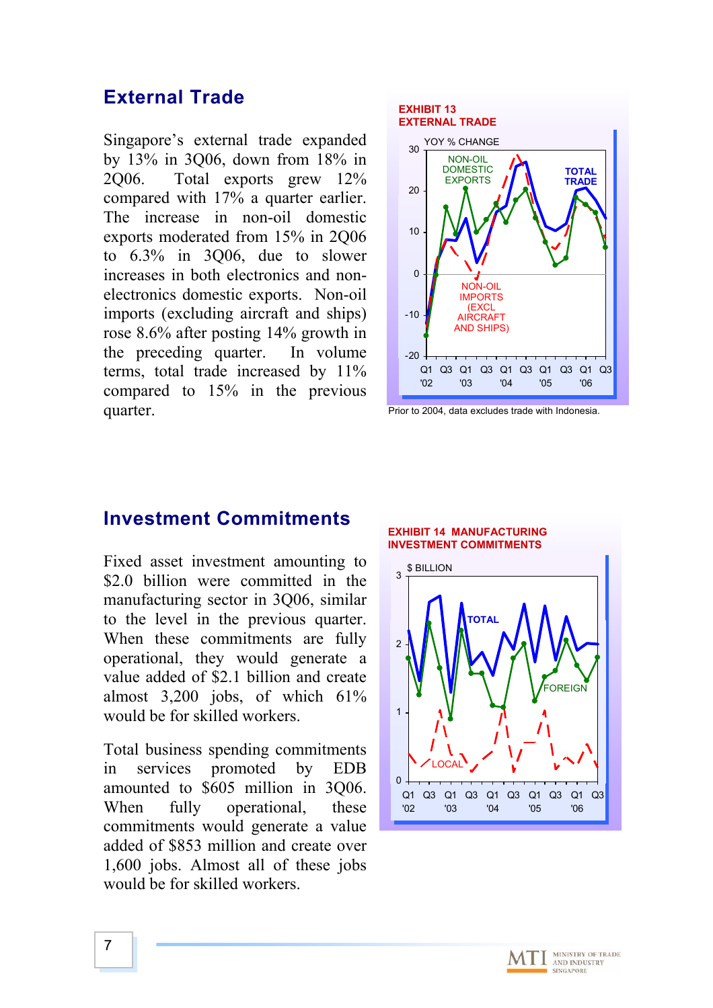### **External Trade**

Singapore's external trade expanded by 13% in 3Q06, down from 18% in 2Q06. Total exports grew 12% compared with 17% a quarter earlier. The increase in non-oil domestic exports m oderated from 15% in 2Q06 to 6.3% in 3Q06, due to slower in creases in both electronics and none lectronics domestic exports. Non-oil im ports (excluding aircraft and ships) r ose 8.6% after posting 14% growth in th e preceding quarter. In volume te rms, total trade increased by 11% c ompared to 15% in the previous q uarter.



Prior to 2004, data excludes trade with Indonesia.

### **Investment Commitments**

Fixed asset investment amounting to \$2.0 billion were committed in the manufacturing sector in 3Q06, similar to the level in the previous quarter. When these commitments are fully operational, they would generate a value added of \$2.1 billion and create almost  $3,200$  jobs, of which  $61\%$ would be for skilled workers.

Total business spending commitments in services promoted by EDB amounted to \$605 million in 3Q06. When fully operational, these commitments would generate a value added of \$853 million and create over 1 ,600 jobs. Almost all of these jobs w ould be for skilled workers.

### **EXHIBIT 14 MANUFACTURING INVESTMENT COMMITMENTS**



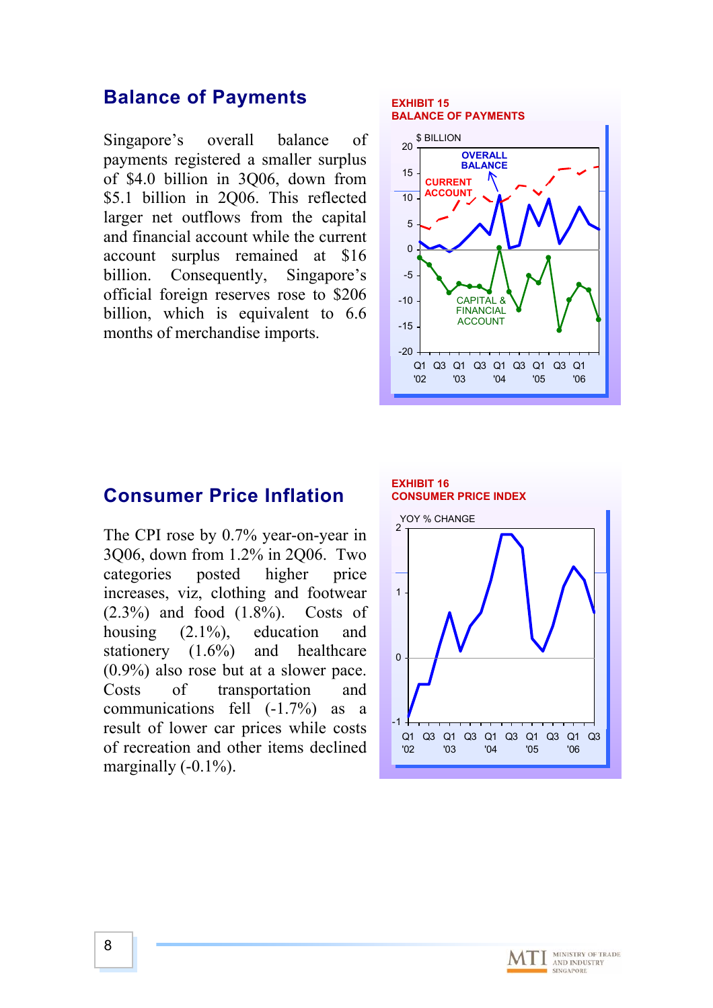### **Balance of Payments**

Singapore's overall balance of payments registered a smaller surplus of \$4.0 billion in 3Q06, down from \$5.1 billion in 2Q06. This reflected larger net outflows from the capital and financial account while the current account surplus remained at \$16 billion. Consequently, Singapore's official foreign reserves rose to \$206 billion, which is equivalent to 6.6 months of merchandise imports.

#### **EXHIBIT 15 BALANCE OF PAYMENTS**



### **Consumer Price Inflation**

The CPI rose by 0.7% year-on-year in Q06, down from 1.2% in 2Q06. Two 3 education and stationery (1.6%) and healthcare categories posted higher price increases, viz, clothing and footwear (2.3%) and food (1.8%). Costs of housing  $(2.1\%)$ , (0.9%) also rose but at a slower pace. Costs of transportation and communications fell (-1.7%) as a result of lower car prices while costs of recreation and other items declined marginally  $(-0.1\%)$ .



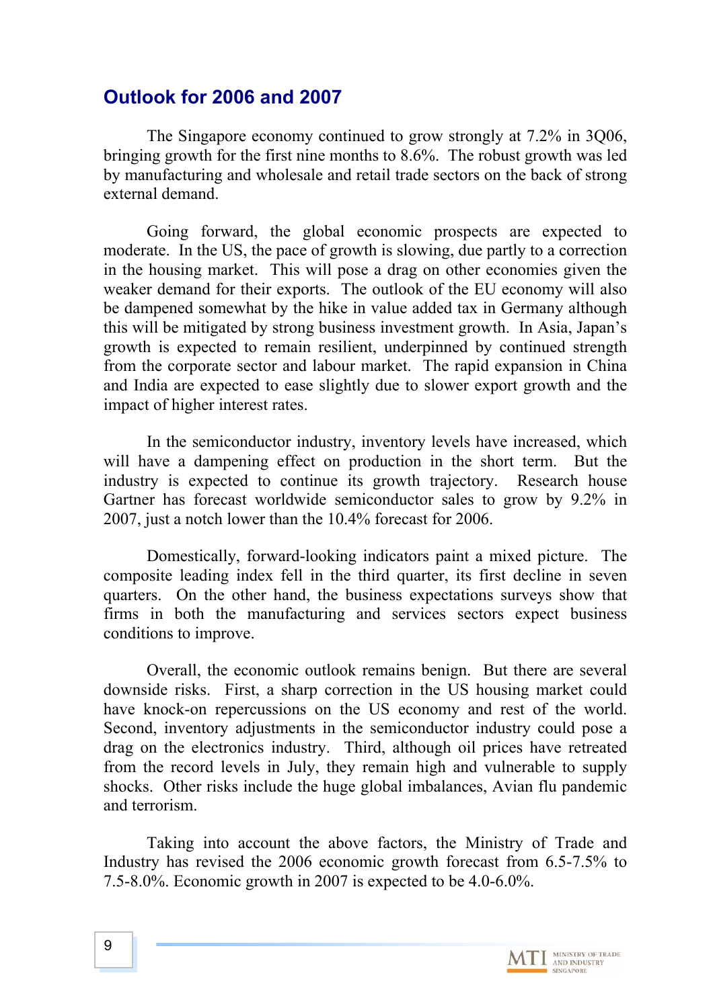## **Outlook for 2006 and 2007**

The Singapore economy continued to grow strongly at 7.2% in 3Q06, bringing growth for the first nine months to 8.6%. The robust growth was led by manufacturing and wholesale and retai l trade sectors on the back of strong external demand.

Going forward, the global economic prospects are expected to moderate. In the US, the pace of growth is slowing, due partly to a correction in the housing market. This will pose a drag on other economies given the weaker demand for their exports. The outlook of the EU economy will also be dampened somewhat by the hike in value added tax in Germany although this will be mitigated by strong business investment growth. In Asia, Japan's growth is expected to remain resilient, underpinned by continued strength from the corporate sector and labour market. The rapid expansion in China and India are expected to ease slightly d ue to slower export growth and the impact o f higher interest rates.

will have a dampening effect on production in the short term. But the in dustry is expected to continue its growth trajectory. Research house G artner has forecast worldwide semiconductor sales to grow by 9.2% in 2007, just a notch lower than the 10.4% forecast for 2006. In the semiconductor industry, inventory levels have increased, which

Domestically, forward-looking ind icators paint a mixed picture. The composite leading index fell in the thir d quarter, its first decline in seven quarters. On the other hand, the busin ess expectations surveys show that firms in both the manufacturing and services sectors expect business conditions to improve.

from the record levels in July, they remain high and vulnerable to supply Overall, the economic outlook re mains benign. But there are several downside risks. First, a sharp correctio n in the US housing market could have knock-on repercussions on the US economy and rest of the world. Second, inventory adjustments in the semiconductor industry could pose a drag on the electronics industry. Third, although oil prices have retreated shocks. Other risks include the huge global imbalances, Avian flu pandemic and terrorism.

Taking into account the above factors, the Ministry of Trade and Industry has revised the 2006 economi c growth forecast from 6.5-7.5% to 7.5-8.0%. Economic growth in 2007 is expected to be 4.0-6.0%.

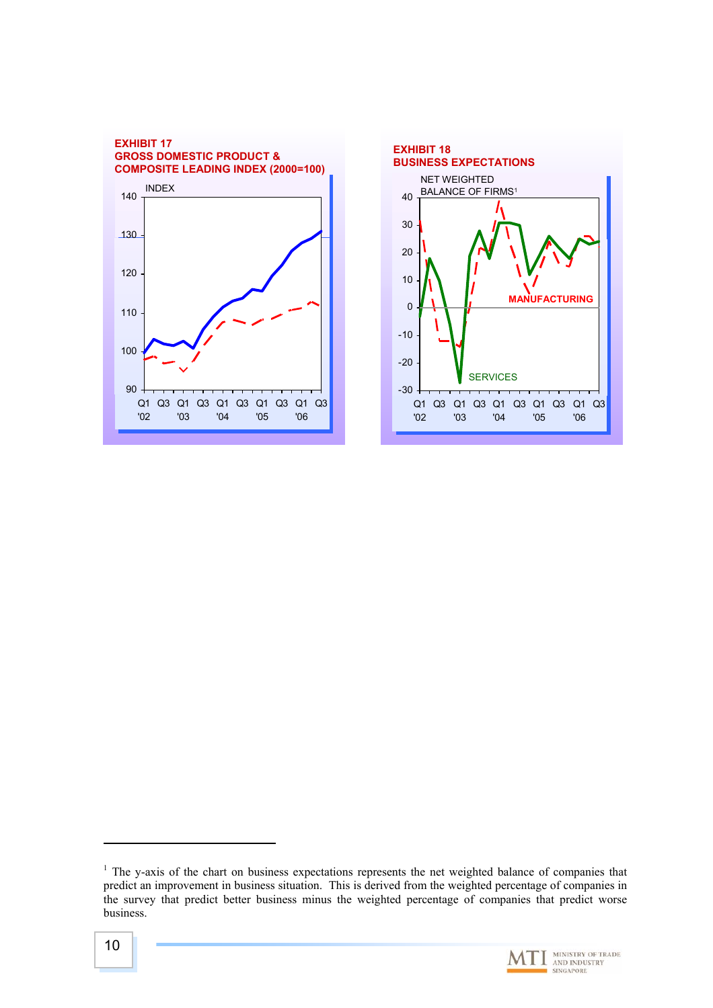



<span id="page-9-0"></span> $<sup>1</sup>$  The y-axis of the chart on business expectations represents the net weighted balance of companies that</sup> predict an improvement in business situation. This is derived from the weighted percentage of companies in the survey that predict better business minus the weighted percentage of companies that predict worse business.



MINISTRY OF TRADE<br>AND INDUSTRY<br>SINGAPORE

 $\overline{a}$